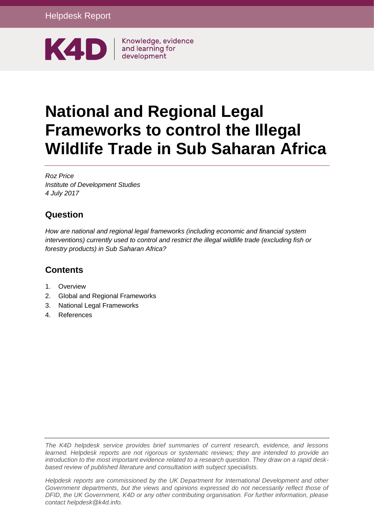

Knowledge, evidence

# **National and Regional Legal Frameworks to control the Illegal Wildlife Trade in Sub Saharan Africa**

*Roz Price Institute of Development Studies 4 July 2017*

# **Question**

*How are national and regional legal frameworks (including economic and financial system interventions) currently used to control and restrict the illegal wildlife trade (excluding fish or forestry products) in Sub Saharan Africa?*

# **Contents**

- 1. [Overview](#page-1-0)
- 2. [Global and Regional Frameworks](#page-2-0)
- 3. [National Legal Frameworks](#page-7-0)
- 4. [References](#page-20-0)

*The K4D helpdesk service provides brief summaries of current research, evidence, and lessons learned. Helpdesk reports are not rigorous or systematic reviews; they are intended to provide an introduction to the most important evidence related to a research question. They draw on a rapid deskbased review of published literature and consultation with subject specialists.* 

*Helpdesk reports are commissioned by the UK Department for International Development and other*  Government departments, but the views and opinions expressed do not necessarily reflect those of *DFID, the UK Government, K4D or any other contributing organisation. For further information, please contact helpdesk@k4d.info.*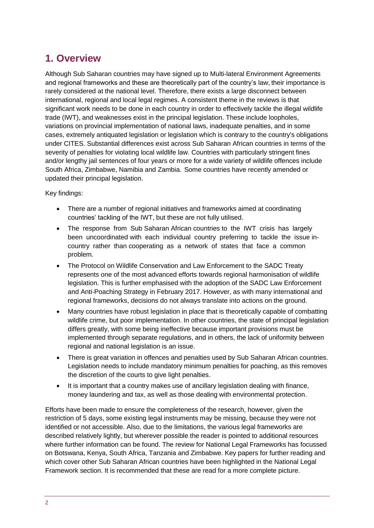# <span id="page-1-0"></span>**1. Overview**

Although Sub Saharan countries may have signed up to Multi-lateral Environment Agreements and regional frameworks and these are theoretically part of the country's law, their importance is rarely considered at the national level. Therefore, there exists a large disconnect between international, regional and local legal regimes. A consistent theme in the reviews is that significant work needs to be done in each country in order to effectively tackle the illegal wildlife trade (IWT), and weaknesses exist in the principal legislation. These include loopholes, variations on provincial implementation of national laws, inadequate penalties, and in some cases, extremely antiquated legislation or legislation which is contrary to the country's obligations under CITES. Substantial differences exist across Sub Saharan African countries in terms of the severity of penalties for violating local wildlife law. Countries with particularly stringent fines and/or lengthy jail sentences of four years or more for a wide variety of wildlife offences include South Africa, Zimbabwe, Namibia and Zambia. Some countries have recently amended or updated their principal legislation.

Key findings:

- There are a number of regional initiatives and frameworks aimed at coordinating countries' tackling of the IWT, but these are not fully utilised.
- The response from Sub Saharan African countries to the IWT crisis has largely been uncoordinated with each individual country preferring to tackle the issue incountry rather than cooperating as a network of states that face a common problem.
- The Protocol on Wildlife Conservation and Law Enforcement to the SADC Treaty represents one of the most advanced efforts towards regional harmonisation of wildlife legislation. This is further emphasised with the adoption of the SADC Law Enforcement and Anti-Poaching Strategy in February 2017. However, as with many international and regional frameworks, decisions do not always translate into actions on the ground.
- Many countries have robust legislation in place that is theoretically capable of combatting wildlife crime, but poor implementation. In other countries, the state of principal legislation differs greatly, with some being ineffective because important provisions must be implemented through separate regulations, and in others, the lack of uniformity between regional and national legislation is an issue.
- There is great variation in offences and penalties used by Sub Saharan African countries. Legislation needs to include mandatory minimum penalties for poaching, as this removes the discretion of the courts to give light penalties.
- It is important that a country makes use of ancillary legislation dealing with finance, money laundering and tax, as well as those dealing with environmental protection.

Efforts have been made to ensure the completeness of the research, however, given the restriction of 5 days, some existing legal instruments may be missing, because they were not identified or not accessible. Also, due to the limitations, the various legal frameworks are described relatively lightly, but wherever possible the reader is pointed to additional resources where further information can be found. The review for National Legal Frameworks has focussed on Botswana, Kenya, South Africa, Tanzania and Zimbabwe. Key papers for further reading and which cover other Sub Saharan African countries have been highlighted in the National Legal Framework section. It is recommended that these are read for a more complete picture.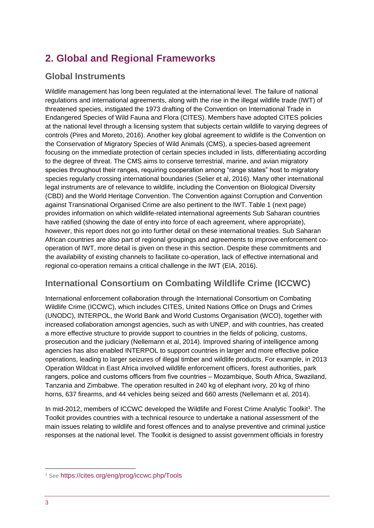# <span id="page-2-0"></span>**2. Global and Regional Frameworks**

### **Global Instruments**

Wildlife management has long been regulated at the international level. The failure of national regulations and international agreements, along with the rise in the illegal wildlife trade (IWT) of threatened species, instigated the 1973 drafting of the Convention on International Trade in Endangered Species of Wild Fauna and Flora (CITES). Members have adopted CITES policies at the national level through a licensing system that subjects certain wildlife to varying degrees of controls (Pires and Moreto, 2016). Another key global agreement to wildlife is the Convention on the Conservation of Migratory Species of Wild Animals (CMS), a species-based agreement focusing on the immediate protection of certain species included in lists, differentiating according to the degree of threat. The CMS aims to conserve terrestrial, marine, and avian migratory species throughout their ranges, requiring cooperation among "range states" host to migratory species regularly crossing international boundaries (Selier et al, 2016). Many other international legal instruments are of relevance to wildlife, including the Convention on Biological Diversity (CBD) and the World Heritage Convention. The Convention against Corruption and Convention against Transnational Organised Crime are also pertinent to the IWT. Table 1 (next page) provides information on which wildlife-related international agreements Sub Saharan countries have ratified (showing the date of entry into force of each agreement, where appropriate), however, this report does not go into further detail on these international treaties. Sub Saharan African countries are also part of regional groupings and agreements to improve enforcement cooperation of IWT, more detail is given on these in this section. Despite these commitments and the availability of existing channels to facilitate co-operation, lack of effective international and regional co-operation remains a critical challenge in the IWT (EIA, 2016).

# **International Consortium on Combating Wildlife Crime (ICCWC)**

International enforcement collaboration through the International Consortium on Combating Wildlife Crime (ICCWC), which includes CITES, United Nations Office on Drugs and Crimes (UNODC), INTERPOL, the World Bank and World Customs Organisation (WCO), together with increased collaboration amongst agencies, such as with UNEP, and with countries, has created a more effective structure to provide support to countries in the fields of policing, customs, prosecution and the judiciary (Nellemann et al, 2014). Improved sharing of intelligence among agencies has also enabled INTERPOL to support countries in larger and more effective police operations, leading to larger seizures of illegal timber and wildlife products. For example, in 2013 Operation Wildcat in East Africa involved wildlife enforcement officers, forest authorities, park rangers, police and customs officers from five countries – Mozambique, South Africa, Swaziland, Tanzania and Zimbabwe. The operation resulted in 240 kg of elephant ivory, 20 kg of rhino horns, 637 firearms, and 44 vehicles being seized and 660 arrests (Nellemann et al, 2014).

In mid-2012, members of ICCWC developed the Wildlife and Forest Crime Analytic Toolkit<sup>1</sup>. The Toolkit provides countries with a technical resource to undertake a national assessment of the main issues relating to wildlife and forest offences and to analyse preventive and criminal justice responses at the national level. The Toolkit is designed to assist government officials in forestry

1

<sup>1</sup> See <https://cites.org/eng/prog/iccwc.php/Tools>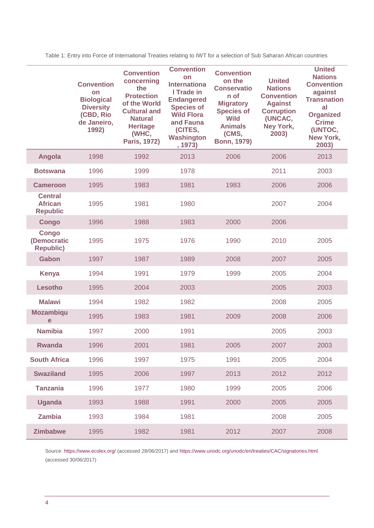|                                                     | <b>Convention</b><br>on<br><b>Biological</b><br><b>Diversity</b><br>(CBD, Rio<br>de Janeiro,<br>1992) | <b>Convention</b><br>concerning<br>the<br><b>Protection</b><br>of the World<br><b>Cultural and</b><br><b>Natural</b><br><b>Heritage</b><br>(WHC,<br>Paris, 1972) | <b>Convention</b><br>on<br><b>Internationa</b><br>I Trade in<br><b>Endangered</b><br><b>Species of</b><br><b>Wild Flora</b><br>and Fauna<br>(CITES,<br><b>Washington</b><br>, 1973) | <b>Convention</b><br>on the<br><b>Conservatio</b><br>n of<br><b>Migratory</b><br><b>Species of</b><br><b>Wild</b><br><b>Animals</b><br>(CMS,<br><b>Bonn, 1979)</b> | <b>United</b><br><b>Nations</b><br><b>Convention</b><br><b>Against</b><br><b>Corruption</b><br>(UNCAC,<br>Ney York,<br>2003) | <b>United</b><br><b>Nations</b><br><b>Convention</b><br>against<br><b>Transnation</b><br>al<br><b>Organized</b><br><b>Crime</b><br>(UNTOC,<br>New York,<br>2003) |
|-----------------------------------------------------|-------------------------------------------------------------------------------------------------------|------------------------------------------------------------------------------------------------------------------------------------------------------------------|-------------------------------------------------------------------------------------------------------------------------------------------------------------------------------------|--------------------------------------------------------------------------------------------------------------------------------------------------------------------|------------------------------------------------------------------------------------------------------------------------------|------------------------------------------------------------------------------------------------------------------------------------------------------------------|
| Angola                                              | 1998                                                                                                  | 1992                                                                                                                                                             | 2013                                                                                                                                                                                | 2006                                                                                                                                                               | 2006                                                                                                                         | 2013                                                                                                                                                             |
| <b>Botswana</b>                                     | 1996                                                                                                  | 1999                                                                                                                                                             | 1978                                                                                                                                                                                |                                                                                                                                                                    | 2011                                                                                                                         | 2003                                                                                                                                                             |
| <b>Cameroon</b>                                     | 1995                                                                                                  | 1983                                                                                                                                                             | 1981                                                                                                                                                                                | 1983                                                                                                                                                               | 2006                                                                                                                         | 2006                                                                                                                                                             |
| <b>Central</b><br><b>African</b><br><b>Republic</b> | 1995                                                                                                  | 1981                                                                                                                                                             | 1980                                                                                                                                                                                |                                                                                                                                                                    | 2007                                                                                                                         | 2004                                                                                                                                                             |
| <b>Congo</b>                                        | 1996                                                                                                  | 1988                                                                                                                                                             | 1983                                                                                                                                                                                | 2000                                                                                                                                                               | 2006                                                                                                                         |                                                                                                                                                                  |
| <b>Congo</b><br>(Democratic<br><b>Republic)</b>     | 1995                                                                                                  | 1975                                                                                                                                                             | 1976                                                                                                                                                                                | 1990                                                                                                                                                               | 2010                                                                                                                         | 2005                                                                                                                                                             |
| Gabon                                               | 1997                                                                                                  | 1987                                                                                                                                                             | 1989                                                                                                                                                                                | 2008                                                                                                                                                               | 2007                                                                                                                         | 2005                                                                                                                                                             |
| <b>Kenya</b>                                        | 1994                                                                                                  | 1991                                                                                                                                                             | 1979                                                                                                                                                                                | 1999                                                                                                                                                               | 2005                                                                                                                         | 2004                                                                                                                                                             |
| Lesotho                                             | 1995                                                                                                  | 2004                                                                                                                                                             | 2003                                                                                                                                                                                |                                                                                                                                                                    | 2005                                                                                                                         | 2003                                                                                                                                                             |
| <b>Malawi</b>                                       | 1994                                                                                                  | 1982                                                                                                                                                             | 1982                                                                                                                                                                                |                                                                                                                                                                    | 2008                                                                                                                         | 2005                                                                                                                                                             |
| <b>Mozambiqu</b><br>$\mathbf e$                     | 1995                                                                                                  | 1983                                                                                                                                                             | 1981                                                                                                                                                                                | 2009                                                                                                                                                               | 2008                                                                                                                         | 2006                                                                                                                                                             |
| <b>Namibia</b>                                      | 1997                                                                                                  | 2000                                                                                                                                                             | 1991                                                                                                                                                                                |                                                                                                                                                                    | 2005                                                                                                                         | 2003                                                                                                                                                             |
| <b>Rwanda</b>                                       | 1996                                                                                                  | 2001                                                                                                                                                             | 1981                                                                                                                                                                                | 2005                                                                                                                                                               | 2007                                                                                                                         | 2003                                                                                                                                                             |
| <b>South Africa</b>                                 | 1996                                                                                                  | 1997                                                                                                                                                             | 1975                                                                                                                                                                                | 1991                                                                                                                                                               | 2005                                                                                                                         | 2004                                                                                                                                                             |
| <b>Swaziland</b>                                    | 1995                                                                                                  | 2006                                                                                                                                                             | 1997                                                                                                                                                                                | 2013                                                                                                                                                               | 2012                                                                                                                         | 2012                                                                                                                                                             |
| <b>Tanzania</b>                                     | 1996                                                                                                  | 1977                                                                                                                                                             | 1980                                                                                                                                                                                | 1999                                                                                                                                                               | 2005                                                                                                                         | 2006                                                                                                                                                             |
| <b>Uganda</b>                                       | 1993                                                                                                  | 1988                                                                                                                                                             | 1991                                                                                                                                                                                | 2000                                                                                                                                                               | 2005                                                                                                                         | 2005                                                                                                                                                             |
| <b>Zambia</b>                                       | 1993                                                                                                  | 1984                                                                                                                                                             | 1981                                                                                                                                                                                |                                                                                                                                                                    | 2008                                                                                                                         | 2005                                                                                                                                                             |
| <b>Zimbabwe</b>                                     | 1995                                                                                                  | 1982                                                                                                                                                             | 1981                                                                                                                                                                                | 2012                                                                                                                                                               | 2007                                                                                                                         | 2008                                                                                                                                                             |

Table 1: Entry into Force of International Treaties relating to IWT for a selection of Sub Saharan African countries

Source:<https://www.ecolex.org/> (accessed 28/06/2017) and<https://www.unodc.org/unodc/en/treaties/CAC/signatories.html> (accessed 30/06/2017)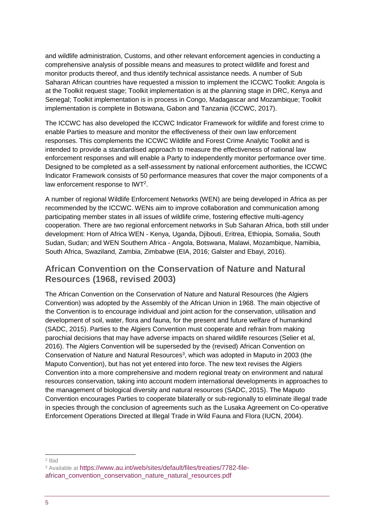and wildlife administration, Customs, and other relevant enforcement agencies in conducting a comprehensive analysis of possible means and measures to protect wildlife and forest and monitor products thereof, and thus identify technical assistance needs. A number of Sub Saharan African countries have requested a mission to implement the ICCWC Toolkit: Angola is at the Toolkit request stage; Toolkit implementation is at the planning stage in DRC, Kenya and Senegal; Toolkit implementation is in process in Congo, Madagascar and Mozambique; Toolkit implementation is complete in Botswana, Gabon and Tanzania (ICCWC, 2017).

The ICCWC has also developed the ICCWC Indicator Framework for wildlife and forest crime to enable Parties to measure and monitor the effectiveness of their own law enforcement responses. This complements the ICCWC Wildlife and Forest Crime Analytic Toolkit and is intended to provide a standardised approach to measure the effectiveness of national law enforcement responses and will enable a Party to independently monitor performance over time. Designed to be completed as a self-assessment by national enforcement authorities, the ICCWC Indicator Framework consists of 50 performance measures that cover the major components of a law enforcement response to IWT<sup>2</sup>.

A number of regional Wildlife Enforcement Networks (WEN) are being developed in Africa as per recommended by the ICCWC. WENs aim to improve collaboration and communication among participating member states in all issues of wildlife crime, fostering effective multi-agency cooperation. There are two regional enforcement networks in Sub Saharan Africa, both still under development: Horn of Africa WEN - Kenya, Uganda, Djibouti, Eritrea, Ethiopia, Somalia, South Sudan, Sudan; and WEN Southern Africa - Angola, Botswana, Malawi, Mozambique, Namibia, South Africa, Swaziland, Zambia, Zimbabwe (EIA, 2016; Galster and Ebayi, 2016).

### **African Convention on the Conservation of Nature and Natural Resources (1968, revised 2003)**

The African Convention on the Conservation of Nature and Natural Resources (the Algiers Convention) was adopted by the Assembly of the African Union in 1968. The main objective of the Convention is to encourage individual and joint action for the conservation, utilisation and development of soil, water, flora and fauna, for the present and future welfare of humankind (SADC, 2015). Parties to the Algiers Convention must cooperate and refrain from making parochial decisions that may have adverse impacts on shared wildlife resources (Selier et al, 2016). The Algiers Convention will be superseded by the (revised) African Convention on Conservation of Nature and Natural Resources<sup>3</sup>, which was adopted in Maputo in 2003 (the Maputo Convention), but has not yet entered into force. The new text revises the Algiers Convention into a more comprehensive and modern regional treaty on environment and natural resources conservation, taking into account modern international developments in approaches to the management of biological diversity and natural resources (SADC, 2015). The Maputo Convention encourages Parties to cooperate bilaterally or sub-regionally to eliminate illegal trade in species through the conclusion of agreements such as the Lusaka Agreement on Co-operative Enforcement Operations Directed at Illegal Trade in Wild Fauna and Flora (IUCN, 2004).

 2 Ibid

<sup>&</sup>lt;sup>3</sup> Available at [https://www.au.int/web/sites/default/files/treaties/7782-file](https://www.au.int/web/sites/default/files/treaties/7782-file-african_convention_conservation_nature_natural_resources.pdf)[african\\_convention\\_conservation\\_nature\\_natural\\_resources.pdf](https://www.au.int/web/sites/default/files/treaties/7782-file-african_convention_conservation_nature_natural_resources.pdf)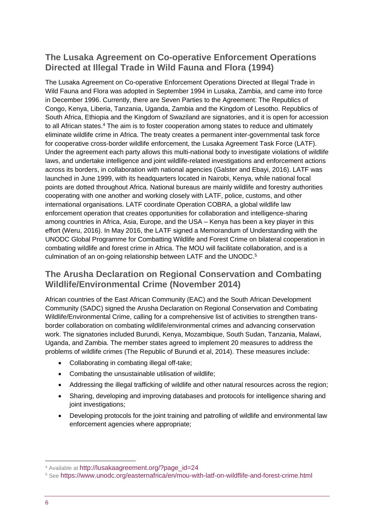### **The Lusaka Agreement on Co-operative Enforcement Operations Directed at Illegal Trade in Wild Fauna and Flora (1994)**

The Lusaka Agreement on Co-operative Enforcement Operations Directed at Illegal Trade in Wild Fauna and Flora was adopted in September 1994 in Lusaka, Zambia, and came into force in December 1996. Currently, there are Seven Parties to the Agreement: The Republics of Congo, Kenya, Liberia, Tanzania, Uganda, Zambia and the Kingdom of Lesotho. Republics of South Africa, Ethiopia and the Kingdom of Swaziland are signatories, and it is open for accession to all African states.<sup>4</sup> The aim is to foster cooperation among states to reduce and ultimately eliminate wildlife crime in Africa. The treaty creates a permanent inter-governmental task force for cooperative cross-border wildlife enforcement, the Lusaka Agreement Task Force (LATF). Under the agreement each party allows this multi-national body to investigate violations of wildlife laws, and undertake intelligence and joint wildlife-related investigations and enforcement actions across its borders, in collaboration with national agencies (Galster and Ebayi, 2016). LATF was launched in June 1999, with its headquarters located in Nairobi, Kenya, while national focal points are dotted throughout Africa. National bureaus are mainly wildlife and forestry authorities cooperating with one another and working closely with LATF, police, customs, and other international organisations. LATF coordinate Operation COBRA, a global wildlife law enforcement operation that creates opportunities for collaboration and intelligence-sharing among countries in Africa, Asia, Europe, and the USA – Kenya has been a key player in this effort (Weru, 2016). In May 2016, the LATF signed a Memorandum of Understanding with the UNODC Global Programme for Combatting Wildlife and Forest Crime on bilateral cooperation in combating wildlife and forest crime in Africa. The MOU will facilitate collaboration, and is a culmination of an on-going relationship between LATF and the UNODC. 5

### **The Arusha Declaration on Regional Conservation and Combating Wildlife/Environmental Crime (November 2014)**

African countries of the East African Community (EAC) and the South African Development Community (SADC) signed the Arusha Declaration on Regional Conservation and Combating Wildlife/Environmental Crime, calling for a comprehensive list of activities to strengthen transborder collaboration on combating wildlife/environmental crimes and advancing conservation work. The signatories included Burundi, Kenya, Mozambique, South Sudan, Tanzania, Malawi, Uganda, and Zambia. The member states agreed to implement 20 measures to address the problems of wildlife crimes (The Republic of Burundi et al, 2014). These measures include:

- Collaborating in combating illegal off-take;
- Combating the unsustainable utilisation of wildlife;
- Addressing the illegal trafficking of wildlife and other natural resources across the region;
- Sharing, developing and improving databases and protocols for intelligence sharing and joint investigations;
- Developing protocols for the joint training and patrolling of wildlife and environmental law enforcement agencies where appropriate;

1

<sup>&</sup>lt;sup>4</sup> Available at [http://lusakaagreement.org/?page\\_id=24](http://lusakaagreement.org/?page_id=24)

<sup>5</sup> See <https://www.unodc.org/easternafrica/en/mou-with-latf-on-wildflife-and-forest-crime.html>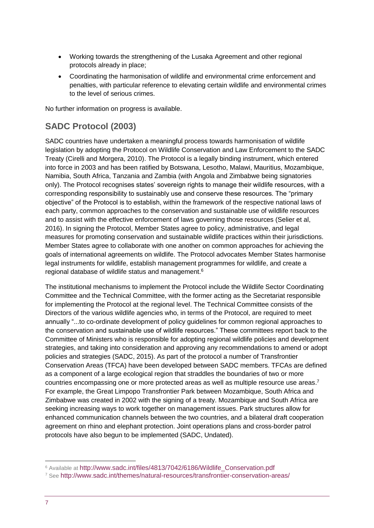- Working towards the strengthening of the Lusaka Agreement and other regional protocols already in place;
- Coordinating the harmonisation of wildlife and environmental crime enforcement and penalties, with particular reference to elevating certain wildlife and environmental crimes to the level of serious crimes.

No further information on progress is available.

# **SADC Protocol (2003)**

SADC countries have undertaken a meaningful process towards harmonisation of wildlife legislation by adopting the Protocol on Wildlife Conservation and Law Enforcement to the SADC Treaty (Cirelli and Morgera, 2010). The Protocol is a legally binding instrument, which entered into force in 2003 and has been ratified by Botswana, Lesotho, Malawi, Mauritius, Mozambique, Namibia, South Africa, Tanzania and Zambia (with Angola and Zimbabwe being signatories only). The Protocol recognises states' sovereign rights to manage their wildlife resources, with a corresponding responsibility to sustainably use and conserve these resources. The "primary objective" of the Protocol is to establish, within the framework of the respective national laws of each party, common approaches to the conservation and sustainable use of wildlife resources and to assist with the effective enforcement of laws governing those resources (Selier et al, 2016). In signing the Protocol, Member States agree to policy, administrative, and legal measures for promoting conservation and sustainable wildlife practices within their jurisdictions. Member States agree to collaborate with one another on common approaches for achieving the goals of international agreements on wildlife. The Protocol advocates Member States harmonise legal instruments for wildlife, establish management programmes for wildlife, and create a regional database of wildlife status and management. 6

The institutional mechanisms to implement the Protocol include the Wildlife Sector Coordinating Committee and the Technical Committee, with the former acting as the Secretariat responsible for implementing the Protocol at the regional level. The Technical Committee consists of the Directors of the various wildlife agencies who, in terms of the Protocol, are required to meet annually "...to co-ordinate development of policy guidelines for common regional approaches to the conservation and sustainable use of wildlife resources." These committees report back to the Committee of Ministers who is responsible for adopting regional wildlife policies and development strategies, and taking into consideration and approving any recommendations to amend or adopt policies and strategies (SADC, 2015). As part of the protocol a number of Transfrontier Conservation Areas (TFCA) have been developed between SADC members. TFCAs are defined as a component of a large ecological region that straddles the boundaries of two or more countries encompassing one or more protected areas as well as multiple resource use areas.<sup>7</sup> For example, the Great Limpopo Transfrontier Park between Mozambique, South Africa and Zimbabwe was created in 2002 with the signing of a treaty. Mozambique and South Africa are seeking increasing ways to work together on management issues. Park structures allow for enhanced communication channels between the two countries, and a bilateral draft cooperation agreement on rhino and elephant protection. Joint operations plans and cross-border patrol protocols have also begun to be implemented (SADC, Undated).

<sup>1</sup> <sup>6</sup> Available at [http://www.sadc.int/files/4813/7042/6186/Wildlife\\_Conservation.pdf](http://www.sadc.int/files/4813/7042/6186/Wildlife_Conservation.pdf)

<sup>7</sup> See <http://www.sadc.int/themes/natural-resources/transfrontier-conservation-areas/>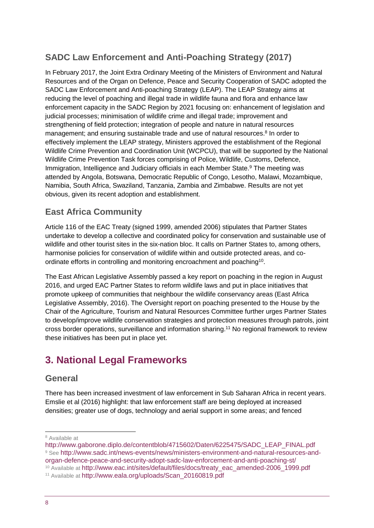# **SADC Law Enforcement and Anti-Poaching Strategy (2017)**

In February 2017, the Joint Extra Ordinary Meeting of the Ministers of Environment and Natural Resources and of the Organ on Defence, Peace and Security Cooperation of SADC adopted the SADC Law Enforcement and Anti-poaching Strategy (LEAP). The LEAP Strategy aims at reducing the level of poaching and illegal trade in wildlife fauna and flora and enhance law enforcement capacity in the SADC Region by 2021 focusing on: enhancement of legislation and judicial processes; minimisation of wildlife crime and illegal trade; improvement and strengthening of field protection; integration of people and nature in natural resources management; and ensuring sustainable trade and use of natural resources.<sup>8</sup> In order to effectively implement the LEAP strategy, Ministers approved the establishment of the Regional Wildlife Crime Prevention and Coordination Unit (WCPCU), that will be supported by the National Wildlife Crime Prevention Task forces comprising of Police, Wildlife, Customs, Defence, Immigration, Intelligence and Judiciary officials in each Member State.<sup>9</sup> The meeting was attended by Angola, Botswana, Democratic Republic of Congo, Lesotho, Malawi, Mozambique, Namibia, South Africa, Swaziland, Tanzania, Zambia and Zimbabwe. Results are not yet obvious, given its recent adoption and establishment.

# **East Africa Community**

Article 116 of the EAC Treaty (signed 1999, amended 2006) stipulates that Partner States undertake to develop a collective and coordinated policy for conservation and sustainable use of wildlife and other tourist sites in the six-nation bloc. It calls on Partner States to, among others, harmonise policies for conservation of wildlife within and outside protected areas, and coordinate efforts in controlling and monitoring encroachment and poaching<sup>10</sup>.

The East African Legislative Assembly passed a key report on poaching in the region in August 2016, and urged EAC Partner States to reform wildlife laws and put in place initiatives that promote upkeep of communities that neighbour the wildlife conservancy areas (East Africa Legislative Assembly, 2016). The Oversight report on poaching presented to the House by the Chair of the Agriculture, Tourism and Natural Resources Committee further urges Partner States to develop/improve wildlife conservation strategies and protection measures through patrols, joint cross border operations, surveillance and information sharing.<sup>11</sup> No regional framework to review these initiatives has been put in place yet.

# <span id="page-7-0"></span>**3. National Legal Frameworks**

### **General**

There has been increased investment of law enforcement in Sub Saharan Africa in recent years. Emslie et al (2016) highlight: that law enforcement staff are being deployed at increased densities; greater use of dogs, technology and aerial support in some areas; and fenced

-

<sup>8</sup> Available at

[http://www.gaborone.diplo.de/contentblob/4715602/Daten/6225475/SADC\\_LEAP\\_FINAL.pdf](http://www.gaborone.diplo.de/contentblob/4715602/Daten/6225475/SADC_LEAP_FINAL.pdf) <sup>9</sup> See [http://www.sadc.int/news-events/news/ministers-environment-and-natural-resources-and](http://www.sadc.int/news-events/news/ministers-environment-and-natural-resources-and-organ-defence-peace-and-security-adopt-sadc-law-enforcement-and-anti-poaching-st/)[organ-defence-peace-and-security-adopt-sadc-law-enforcement-and-anti-poaching-st/](http://www.sadc.int/news-events/news/ministers-environment-and-natural-resources-and-organ-defence-peace-and-security-adopt-sadc-law-enforcement-and-anti-poaching-st/)

<sup>&</sup>lt;sup>10</sup> Available at [http://www.eac.int/sites/default/files/docs/treaty\\_eac\\_amended-2006\\_1999.pdf](http://www.eac.int/sites/default/files/docs/treaty_eac_amended-2006_1999.pdf)

<sup>11</sup> Available at [http://www.eala.org/uploads/Scan\\_20160819.pdf](http://www.eala.org/uploads/Scan_20160819.pdf)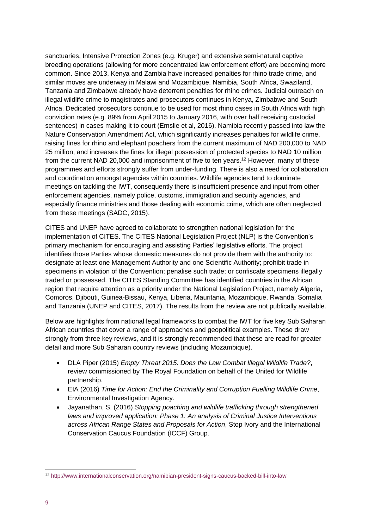sanctuaries, Intensive Protection Zones (e.g. Kruger) and extensive semi-natural captive breeding operations (allowing for more concentrated law enforcement effort) are becoming more common. Since 2013, Kenya and Zambia have increased penalties for rhino trade crime, and similar moves are underway in Malawi and Mozambique. Namibia, South Africa, Swaziland, Tanzania and Zimbabwe already have deterrent penalties for rhino crimes. Judicial outreach on illegal wildlife crime to magistrates and prosecutors continues in Kenya, Zimbabwe and South Africa. Dedicated prosecutors continue to be used for most rhino cases in South Africa with high conviction rates (e.g. 89% from April 2015 to January 2016, with over half receiving custodial sentences) in cases making it to court (Emslie et al, 2016). Namibia recently passed into law the Nature Conservation Amendment Act, which significantly increases penalties for wildlife crime, raising fines for rhino and elephant poachers from the current maximum of NAD 200,000 to NAD 25 million, and increases the fines for illegal possession of protected species to NAD 10 million from the current NAD 20,000 and imprisonment of five to ten years.<sup>12</sup> However, many of these programmes and efforts strongly suffer from under-funding. There is also a need for collaboration and coordination amongst agencies within countries. Wildlife agencies tend to dominate meetings on tackling the IWT, consequently there is insufficient presence and input from other enforcement agencies, namely police, customs, immigration and security agencies, and especially finance ministries and those dealing with economic crime, which are often neglected from these meetings (SADC, 2015).

CITES and UNEP have agreed to collaborate to strengthen national legislation for the implementation of CITES. The CITES National Legislation Project (NLP) is the Convention's primary mechanism for encouraging and assisting Parties' legislative efforts. The project identifies those Parties whose domestic measures do not provide them with the authority to: designate at least one Management Authority and one Scientific Authority; prohibit trade in specimens in violation of the Convention; penalise such trade; or confiscate specimens illegally traded or possessed. The CITES Standing Committee has identified countries in the African region that require attention as a priority under the National Legislation Project, namely Algeria, Comoros, Djibouti, Guinea-Bissau, Kenya, Liberia, Mauritania, Mozambique, Rwanda, Somalia and Tanzania (UNEP and CITES, 2017). The results from the review are not publically available.

Below are highlights from national legal frameworks to combat the IWT for five key Sub Saharan African countries that cover a range of approaches and geopolitical examples. These draw strongly from three key reviews, and it is strongly recommended that these are read for greater detail and more Sub Saharan country reviews (including Mozambique).

- DLA Piper (2015) *Empty Threat 2015: Does the Law Combat Illegal Wildlife Trade?*, review commissioned by The Royal Foundation on behalf of the United for Wildlife partnership.
- EIA (2016) *Time for Action: End the Criminality and Corruption Fuelling Wildlife Crime*, Environmental Investigation Agency.
- Jayanathan, S. (2016) *Stopping poaching and wildlife trafficking through strengthened laws and improved application: Phase 1: An analysis of Criminal Justice Interventions across African Range States and Proposals for Action*, Stop Ivory and the International Conservation Caucus Foundation (ICCF) Group.

-

<sup>12</sup> <http://www.internationalconservation.org/namibian-president-signs-caucus-backed-bill-into-law>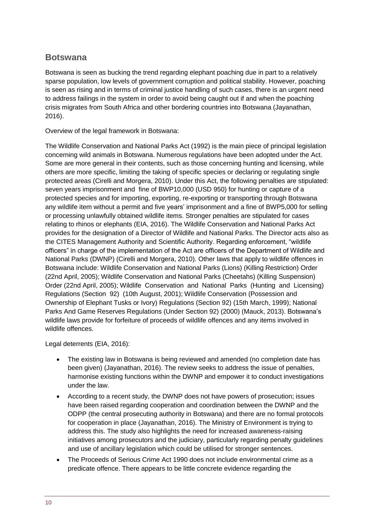### **Botswana**

Botswana is seen as bucking the trend regarding elephant poaching due in part to a relatively sparse population, low levels of government corruption and political stability. However, poaching is seen as rising and in terms of criminal justice handling of such cases, there is an urgent need to address failings in the system in order to avoid being caught out if and when the poaching crisis migrates from South Africa and other bordering countries into Botswana (Jayanathan, 2016).

Overview of the legal framework in Botswana:

The Wildlife Conservation and National Parks Act (1992) is the main piece of principal legislation concerning wild animals in Botswana. Numerous regulations have been adopted under the Act. Some are more general in their contents, such as those concerning hunting and licensing, while others are more specific, limiting the taking of specific species or declaring or regulating single protected areas (Cirelli and Morgera, 2010). Under this Act, the following penalties are stipulated: seven years imprisonment and fine of BWP10,000 (USD 950) for hunting or capture of a protected species and for importing, exporting, re-exporting or transporting through Botswana any wildlife item without a permit and five years' imprisonment and a fine of BWP5,000 for selling or processing unlawfully obtained wildlife items. Stronger penalties are stipulated for cases relating to rhinos or elephants (EIA, 2016). The Wildlife Conservation and National Parks Act provides for the designation of a Director of Wildlife and National Parks. The Director acts also as the CITES Management Authority and Scientific Authority. Regarding enforcement, "wildlife officers" in charge of the implementation of the Act are officers of the Department of Wildlife and National Parks (DWNP) (Cirelli and Morgera, 2010). Other laws that apply to wildlife offences in Botswana include: Wildlife Conservation and National Parks (Lions) (Killing Restriction) Order (22nd April, 2005); Wildlife Conservation and National Parks (Cheetahs) (Killing Suspension) Order (22nd April, 2005); Wildlife Conservation and National Parks (Hunting and Licensing) Regulations (Section 92) (10th August, 2001); Wildlife Conservation (Possession and Ownership of Elephant Tusks or Ivory) Regulations (Section 92) (15th March, 1999); National Parks And Game Reserves Regulations (Under Section 92) (2000) (Mauck, 2013). Botswana's wildlife laws provide for forfeiture of proceeds of wildlife offences and any items involved in wildlife offences.

Legal deterrents (EIA, 2016):

- The existing law in Botswana is being reviewed and amended (no completion date has been given) (Jayanathan, 2016). The review seeks to address the issue of penalties, harmonise existing functions within the DWNP and empower it to conduct investigations under the law.
- According to a recent study, the DWNP does not have powers of prosecution; issues have been raised regarding cooperation and coordination between the DWNP and the ODPP (the central prosecuting authority in Botswana) and there are no formal protocols for cooperation in place (Jayanathan, 2016). The Ministry of Environment is trying to address this. The study also highlights the need for increased awareness-raising initiatives among prosecutors and the judiciary, particularly regarding penalty guidelines and use of ancillary legislation which could be utilised for stronger sentences.
- The Proceeds of Serious Crime Act 1990 does not include environmental crime as a predicate offence. There appears to be little concrete evidence regarding the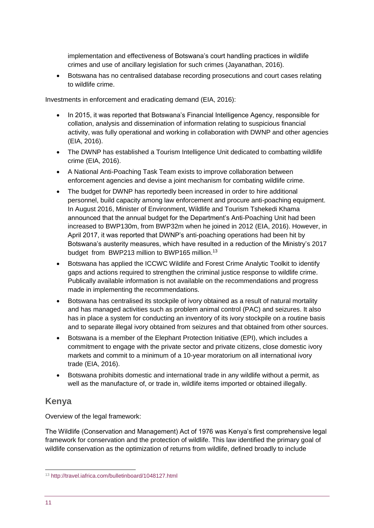implementation and effectiveness of Botswana's court handling practices in wildlife crimes and use of ancillary legislation for such crimes (Jayanathan, 2016).

• Botswana has no centralised database recording prosecutions and court cases relating to wildlife crime.

Investments in enforcement and eradicating demand (EIA, 2016):

- In 2015, it was reported that Botswana's Financial Intelligence Agency, responsible for collation, analysis and dissemination of information relating to suspicious financial activity, was fully operational and working in collaboration with DWNP and other agencies (EIA, 2016).
- The DWNP has established a Tourism Intelligence Unit dedicated to combatting wildlife crime (EIA, 2016).
- A National Anti-Poaching Task Team exists to improve collaboration between enforcement agencies and devise a joint mechanism for combating wildlife crime.
- The budget for DWNP has reportedly been increased in order to hire additional personnel, build capacity among law enforcement and procure anti-poaching equipment. In August 2016, Minister of Environment, Wildlife and Tourism Tshekedi Khama announced that the annual budget for the Department's Anti-Poaching Unit had been increased to BWP130m, from BWP32m when he joined in 2012 (EIA, 2016). However, in April 2017, it was reported that DWNP's anti-poaching operations had been hit by Botswana's austerity measures, which have resulted in a reduction of the Ministry's 2017 budget from BWP213 million to BWP165 million.<sup>13</sup>
- Botswana has applied the ICCWC Wildlife and Forest Crime Analytic Toolkit to identify gaps and actions required to strengthen the criminal justice response to wildlife crime. Publically available information is not available on the recommendations and progress made in implementing the recommendations.
- Botswana has centralised its stockpile of ivory obtained as a result of natural mortality and has managed activities such as problem animal control (PAC) and seizures. It also has in place a system for conducting an inventory of its ivory stockpile on a routine basis and to separate illegal ivory obtained from seizures and that obtained from other sources.
- Botswana is a member of the Elephant Protection Initiative (EPI), which includes a commitment to engage with the private sector and private citizens, close domestic ivory markets and commit to a minimum of a 10-year moratorium on all international ivory trade (EIA, 2016).
- Botswana prohibits domestic and international trade in any wildlife without a permit, as well as the manufacture of, or trade in, wildlife items imported or obtained illegally.

### **Kenya**

Overview of the legal framework:

The Wildlife (Conservation and Management) Act of 1976 was Kenya's first comprehensive legal framework for conservation and the protection of wildlife. This law identified the primary goal of wildlife conservation as the optimization of returns from wildlife, defined broadly to include

<sup>-</sup><sup>13</sup> <http://travel.iafrica.com/bulletinboard/1048127.html>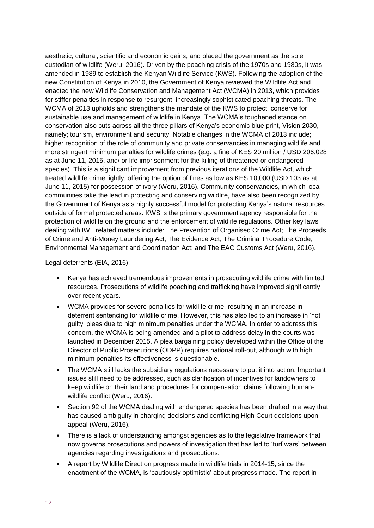aesthetic, cultural, scientific and economic gains, and placed the government as the sole custodian of wildlife (Weru, 2016). Driven by the poaching crisis of the 1970s and 1980s, it was amended in 1989 to establish the Kenyan Wildlife Service (KWS). Following the adoption of the new Constitution of Kenya in 2010, the Government of Kenya reviewed the Wildlife Act and enacted the new Wildlife Conservation and Management Act (WCMA) in 2013, which provides for stiffer penalties in response to resurgent, increasingly sophisticated poaching threats. The WCMA of 2013 upholds and strengthens the mandate of the KWS to protect, conserve for sustainable use and management of wildlife in Kenya. The WCMA's toughened stance on conservation also cuts across all the three pillars of Kenya's economic blue print, Vision 2030, namely; tourism, environment and security. Notable changes in the WCMA of 2013 include; higher recognition of the role of community and private conservancies in managing wildlife and more stringent minimum penalties for wildlife crimes (e.g. a fine of KES 20 million / USD 206,028 as at June 11, 2015, and/ or life imprisonment for the killing of threatened or endangered species). This is a significant improvement from previous iterations of the Wildlife Act, which treated wildlife crime lightly, offering the option of fines as low as KES 10,000 (USD 103 as at June 11, 2015) for possession of ivory (Weru, 2016). Community conservancies, in which local communities take the lead in protecting and conserving wildlife, have also been recognized by the Government of Kenya as a highly successful model for protecting Kenya's natural resources outside of formal protected areas. KWS is the primary government agency responsible for the protection of wildlife on the ground and the enforcement of wildlife regulations. Other key laws dealing with IWT related matters include: The Prevention of Organised Crime Act; The Proceeds of Crime and Anti-Money Laundering Act; The Evidence Act; The Criminal Procedure Code; Environmental Management and Coordination Act; and The EAC Customs Act (Weru, 2016).

Legal deterrents (EIA, 2016):

- Kenya has achieved tremendous improvements in prosecuting wildlife crime with limited resources. Prosecutions of wildlife poaching and trafficking have improved significantly over recent years.
- WCMA provides for severe penalties for wildlife crime, resulting in an increase in deterrent sentencing for wildlife crime. However, this has also led to an increase in 'not guilty' pleas due to high minimum penalties under the WCMA. In order to address this concern, the WCMA is being amended and a pilot to address delay in the courts was launched in December 2015. A plea bargaining policy developed within the Office of the Director of Public Prosecutions (ODPP) requires national roll-out, although with high minimum penalties its effectiveness is questionable.
- The WCMA still lacks the subsidiary regulations necessary to put it into action. Important issues still need to be addressed, such as clarification of incentives for landowners to keep wildlife on their land and procedures for compensation claims following humanwildlife conflict (Weru, 2016).
- Section 92 of the WCMA dealing with endangered species has been drafted in a way that has caused ambiguity in charging decisions and conflicting High Court decisions upon appeal (Weru, 2016).
- There is a lack of understanding amongst agencies as to the legislative framework that now governs prosecutions and powers of investigation that has led to 'turf wars' between agencies regarding investigations and prosecutions.
- A report by Wildlife Direct on progress made in wildlife trials in 2014-15, since the enactment of the WCMA, is 'cautiously optimistic' about progress made. The report in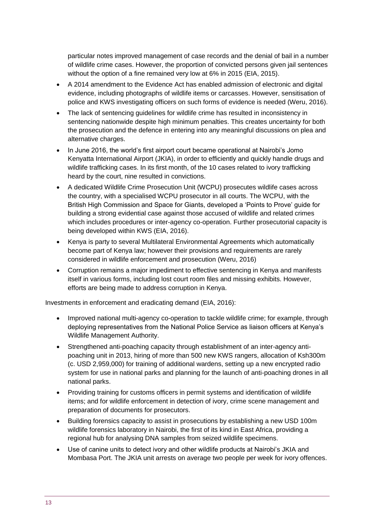particular notes improved management of case records and the denial of bail in a number of wildlife crime cases. However, the proportion of convicted persons given jail sentences without the option of a fine remained very low at 6% in 2015 (EIA, 2015).

- A 2014 amendment to the Evidence Act has enabled admission of electronic and digital evidence, including photographs of wildlife items or carcasses. However, sensitisation of police and KWS investigating officers on such forms of evidence is needed (Weru, 2016).
- The lack of sentencing guidelines for wildlife crime has resulted in inconsistency in sentencing nationwide despite high minimum penalties. This creates uncertainty for both the prosecution and the defence in entering into any meaningful discussions on plea and alternative charges.
- In June 2016, the world's first airport court became operational at Nairobi's Jomo Kenyatta International Airport (JKIA), in order to efficiently and quickly handle drugs and wildlife trafficking cases. In its first month, of the 10 cases related to ivory trafficking heard by the court, nine resulted in convictions.
- A dedicated Wildlife Crime Prosecution Unit (WCPU) prosecutes wildlife cases across the country, with a specialised WCPU prosecutor in all courts. The WCPU, with the British High Commission and Space for Giants, developed a 'Points to Prove' guide for building a strong evidential case against those accused of wildlife and related crimes which includes procedures or inter-agency co-operation. Further prosecutorial capacity is being developed within KWS (EIA, 2016).
- Kenya is party to several Multilateral Environmental Agreements which automatically become part of Kenya law; however their provisions and requirements are rarely considered in wildlife enforcement and prosecution (Weru, 2016)
- Corruption remains a major impediment to effective sentencing in Kenya and manifests itself in various forms, including lost court room files and missing exhibits. However, efforts are being made to address corruption in Kenya.

Investments in enforcement and eradicating demand (EIA, 2016):

- Improved national multi-agency co-operation to tackle wildlife crime; for example, through deploying representatives from the National Police Service as liaison officers at Kenya's Wildlife Management Authority.
- Strengthened anti-poaching capacity through establishment of an inter-agency antipoaching unit in 2013, hiring of more than 500 new KWS rangers, allocation of Ksh300m (c. USD 2,959,000) for training of additional wardens, setting up a new encrypted radio system for use in national parks and planning for the launch of anti-poaching drones in all national parks.
- Providing training for customs officers in permit systems and identification of wildlife items; and for wildlife enforcement in detection of ivory, crime scene management and preparation of documents for prosecutors.
- Building forensics capacity to assist in prosecutions by establishing a new USD 100m wildlife forensics laboratory in Nairobi, the first of its kind in East Africa, providing a regional hub for analysing DNA samples from seized wildlife specimens.
- Use of canine units to detect ivory and other wildlife products at Nairobi's JKIA and Mombasa Port. The JKIA unit arrests on average two people per week for ivory offences.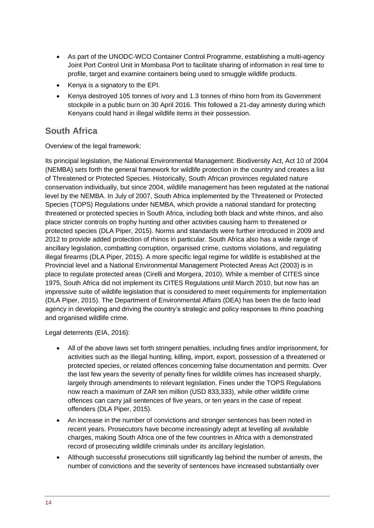- As part of the UNODC-WCO Container Control Programme, establishing a multi-agency Joint Port Control Unit in Mombasa Port to facilitate sharing of information in real time to profile, target and examine containers being used to smuggle wildlife products.
- Kenya is a signatory to the EPI.
- Kenya destroyed 105 tonnes of ivory and 1.3 tonnes of rhino horn from its Government stockpile in a public burn on 30 April 2016. This followed a 21-day amnesty during which Kenyans could hand in illegal wildlife items in their possession.

### **South Africa**

Overview of the legal framework:

Its principal legislation, the National Environmental Management: Biodiversity Act, Act 10 of 2004 (NEMBA) sets forth the general framework for wildlife protection in the country and creates a list of Threatened or Protected Species. Historically, South African provinces regulated nature conservation individually, but since 2004, wildlife management has been regulated at the national level by the NEMBA. In July of 2007, South Africa implemented by the Threatened or Protected Species (TOPS) Regulations under NEMBA, which provide a national standard for protecting threatened or protected species in South Africa, including both black and white rhinos, and also place stricter controls on trophy hunting and other activities causing harm to threatened or protected species (DLA Piper, 2015). Norms and standards were further introduced in 2009 and 2012 to provide added protection of rhinos in particular. South Africa also has a wide range of ancillary legislation, combatting corruption, organised crime, customs violations, and regulating illegal firearms (DLA Piper, 2015). A more specific legal regime for wildlife is established at the Provincial level and a National Environmental Management Protected Areas Act (2003) is in place to regulate protected areas (Cirelli and Morgera, 2010). While a member of CITES since 1975, South Africa did not implement its CITES Regulations until March 2010, but now has an impressive suite of wildlife legislation that is considered to meet requirements for implementation (DLA Piper, 2015). The Department of Environmental Affairs (DEA) has been the de facto lead agency in developing and driving the country's strategic and policy responses to rhino poaching and organised wildlife crime.

Legal deterrents (EIA, 2016):

- All of the above laws set forth stringent penalties, including fines and/or imprisonment, for activities such as the illegal hunting, killing, import, export, possession of a threatened or protected species, or related offences concerning false documentation and permits. Over the last few years the severity of penalty fines for wildlife crimes has increased sharply, largely through amendments to relevant legislation. Fines under the TOPS Regulations now reach a maximum of ZAR ten million (USD 833,333), while other wildlife crime offences can carry jail sentences of five years, or ten years in the case of repeat offenders (DLA Piper, 2015).
- An increase in the number of convictions and stronger sentences has been noted in recent years. Prosecutors have become increasingly adept at levelling all available charges, making South Africa one of the few countries in Africa with a demonstrated record of prosecuting wildlife criminals under its ancillary legislation.
- Although successful prosecutions still significantly lag behind the number of arrests, the number of convictions and the severity of sentences have increased substantially over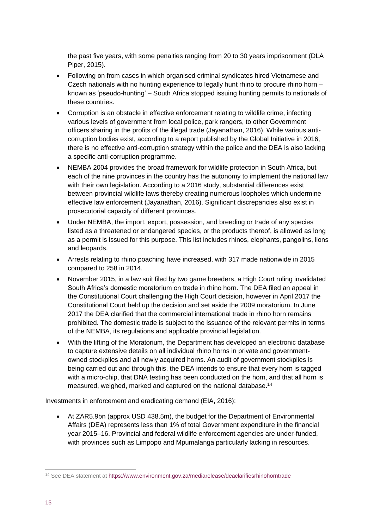the past five years, with some penalties ranging from 20 to 30 years imprisonment (DLA Piper, 2015).

- Following on from cases in which organised criminal syndicates hired Vietnamese and Czech nationals with no hunting experience to legally hunt rhino to procure rhino horn – known as 'pseudo-hunting' – South Africa stopped issuing hunting permits to nationals of these countries.
- Corruption is an obstacle in effective enforcement relating to wildlife crime, infecting various levels of government from local police, park rangers, to other Government officers sharing in the profits of the illegal trade (Jayanathan, 2016). While various anticorruption bodies exist, according to a report published by the Global Initiative in 2016, there is no effective anti-corruption strategy within the police and the DEA is also lacking a specific anti-corruption programme.
- NEMBA 2004 provides the broad framework for wildlife protection in South Africa, but each of the nine provinces in the country has the autonomy to implement the national law with their own legislation. According to a 2016 study, substantial differences exist between provincial wildlife laws thereby creating numerous loopholes which undermine effective law enforcement (Jayanathan, 2016). Significant discrepancies also exist in prosecutorial capacity of different provinces.
- Under NEMBA, the import, export, possession, and breeding or trade of any species listed as a threatened or endangered species, or the products thereof, is allowed as long as a permit is issued for this purpose. This list includes rhinos, elephants, pangolins, lions and leopards.
- Arrests relating to rhino poaching have increased, with 317 made nationwide in 2015 compared to 258 in 2014.
- November 2015, in a law suit filed by two game breeders, a High Court ruling invalidated South Africa's domestic moratorium on trade in rhino horn. The DEA filed an appeal in the Constitutional Court challenging the High Court decision, however in April 2017 the Constitutional Court held up the decision and set aside the 2009 moratorium. In June 2017 the DEA clarified that the commercial international trade in rhino horn remains prohibited. The domestic trade is subject to the issuance of the relevant permits in terms of the NEMBA, its regulations and applicable provincial legislation.
- With the lifting of the Moratorium, the Department has developed an electronic database to capture extensive details on all individual rhino horns in private and governmentowned stockpiles and all newly acquired horns. An audit of government stockpiles is being carried out and through this, the DEA intends to ensure that every horn is tagged with a micro-chip, that DNA testing has been conducted on the horn, and that all horn is measured, weighed, marked and captured on the national database.<sup>14</sup>

Investments in enforcement and eradicating demand (EIA, 2016):

• At ZAR5.9bn (approx USD 438.5m), the budget for the Department of Environmental Affairs (DEA) represents less than 1% of total Government expenditure in the financial year 2015–16. Provincial and federal wildlife enforcement agencies are under-funded, with provinces such as Limpopo and Mpumalanga particularly lacking in resources.

-

<sup>14</sup> See DEA statement a[t https://www.environment.gov.za/mediarelease/deaclarifiesrhinohorntrade](https://www.environment.gov.za/mediarelease/deaclarifiesrhinohorntrade)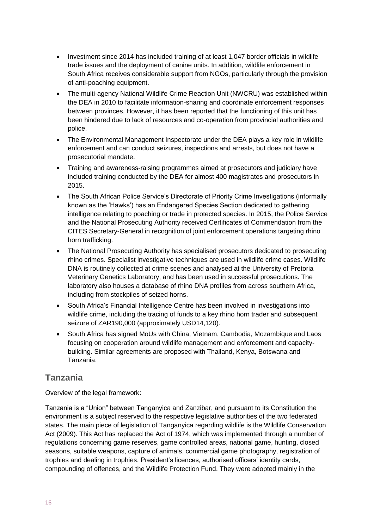- Investment since 2014 has included training of at least 1,047 border officials in wildlife trade issues and the deployment of canine units. In addition, wildlife enforcement in South Africa receives considerable support from NGOs, particularly through the provision of anti-poaching equipment.
- The multi-agency National Wildlife Crime Reaction Unit (NWCRU) was established within the DEA in 2010 to facilitate information-sharing and coordinate enforcement responses between provinces. However, it has been reported that the functioning of this unit has been hindered due to lack of resources and co-operation from provincial authorities and police.
- The Environmental Management Inspectorate under the DEA plays a key role in wildlife enforcement and can conduct seizures, inspections and arrests, but does not have a prosecutorial mandate.
- Training and awareness-raising programmes aimed at prosecutors and judiciary have included training conducted by the DEA for almost 400 magistrates and prosecutors in 2015.
- The South African Police Service's Directorate of Priority Crime Investigations (informally known as the 'Hawks') has an Endangered Species Section dedicated to gathering intelligence relating to poaching or trade in protected species. In 2015, the Police Service and the National Prosecuting Authority received Certificates of Commendation from the CITES Secretary-General in recognition of joint enforcement operations targeting rhino horn trafficking.
- The National Prosecuting Authority has specialised prosecutors dedicated to prosecuting rhino crimes. Specialist investigative techniques are used in wildlife crime cases. Wildlife DNA is routinely collected at crime scenes and analysed at the University of Pretoria Veterinary Genetics Laboratory, and has been used in successful prosecutions. The laboratory also houses a database of rhino DNA profiles from across southern Africa, including from stockpiles of seized horns.
- South Africa's Financial Intelligence Centre has been involved in investigations into wildlife crime, including the tracing of funds to a key rhino horn trader and subsequent seizure of ZAR190,000 (approximately USD14,120).
- South Africa has signed MoUs with China, Vietnam, Cambodia, Mozambique and Laos focusing on cooperation around wildlife management and enforcement and capacitybuilding. Similar agreements are proposed with Thailand, Kenya, Botswana and Tanzania.

### **Tanzania**

Overview of the legal framework:

Tanzania is a "Union" between Tanganyica and Zanzibar, and pursuant to its Constitution the environment is a subject reserved to the respective legislative authorities of the two federated states. The main piece of legislation of Tanganyica regarding wildlife is the Wildlife Conservation Act (2009). This Act has replaced the Act of 1974, which was implemented through a number of regulations concerning game reserves, game controlled areas, national game, hunting, closed seasons, suitable weapons, capture of animals, commercial game photography, registration of trophies and dealing in trophies, President's licences, authorised officers' identity cards, compounding of offences, and the Wildlife Protection Fund. They were adopted mainly in the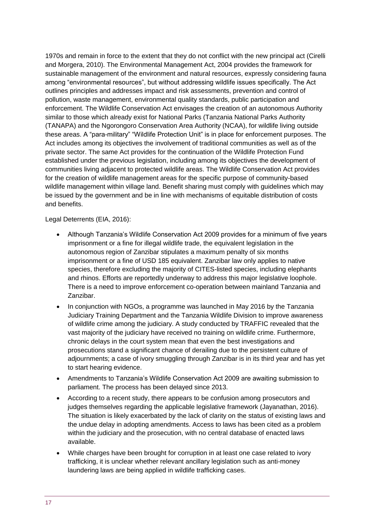1970s and remain in force to the extent that they do not conflict with the new principal act (Cirelli and Morgera, 2010). The Environmental Management Act, 2004 provides the framework for sustainable management of the environment and natural resources, expressly considering fauna among "environmental resources", but without addressing wildlife issues specifically. The Act outlines principles and addresses impact and risk assessments, prevention and control of pollution, waste management, environmental quality standards, public participation and enforcement. The Wildlife Conservation Act envisages the creation of an autonomous Authority similar to those which already exist for National Parks (Tanzania National Parks Authority (TANAPA) and the Ngorongoro Conservation Area Authority (NCAA), for wildlife living outside these areas. A "para-military" "Wildlife Protection Unit" is in place for enforcement purposes. The Act includes among its objectives the involvement of traditional communities as well as of the private sector. The same Act provides for the continuation of the Wildlife Protection Fund established under the previous legislation, including among its objectives the development of communities living adjacent to protected wildlife areas. The Wildlife Conservation Act provides for the creation of wildlife management areas for the specific purpose of community-based wildlife management within village land. Benefit sharing must comply with guidelines which may be issued by the government and be in line with mechanisms of equitable distribution of costs and benefits.

Legal Deterrents (EIA, 2016):

- Although Tanzania's Wildlife Conservation Act 2009 provides for a minimum of five years imprisonment or a fine for illegal wildlife trade, the equivalent legislation in the autonomous region of Zanzibar stipulates a maximum penalty of six months imprisonment or a fine of USD 185 equivalent. Zanzibar law only applies to native species, therefore excluding the majority of CITES-listed species, including elephants and rhinos. Efforts are reportedly underway to address this major legislative loophole. There is a need to improve enforcement co-operation between mainland Tanzania and Zanzibar.
- In conjunction with NGOs, a programme was launched in May 2016 by the Tanzania Judiciary Training Department and the Tanzania Wildlife Division to improve awareness of wildlife crime among the judiciary. A study conducted by TRAFFIC revealed that the vast majority of the judiciary have received no training on wildlife crime. Furthermore, chronic delays in the court system mean that even the best investigations and prosecutions stand a significant chance of derailing due to the persistent culture of adjournments; a case of ivory smuggling through Zanzibar is in its third year and has yet to start hearing evidence.
- Amendments to Tanzania's Wildlife Conservation Act 2009 are awaiting submission to parliament. The process has been delayed since 2013.
- According to a recent study, there appears to be confusion among prosecutors and judges themselves regarding the applicable legislative framework (Jayanathan, 2016). The situation is likely exacerbated by the lack of clarity on the status of existing laws and the undue delay in adopting amendments. Access to laws has been cited as a problem within the judiciary and the prosecution, with no central database of enacted laws available.
- While charges have been brought for corruption in at least one case related to ivory trafficking, it is unclear whether relevant ancillary legislation such as anti-money laundering laws are being applied in wildlife trafficking cases.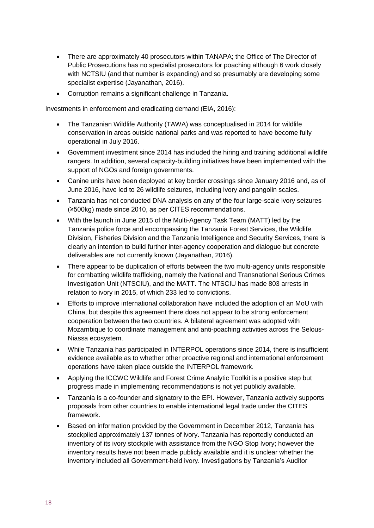- There are approximately 40 prosecutors within TANAPA; the Office of The Director of Public Prosecutions has no specialist prosecutors for poaching although 6 work closely with NCTSIU (and that number is expanding) and so presumably are developing some specialist expertise (Jayanathan, 2016).
- Corruption remains a significant challenge in Tanzania.

Investments in enforcement and eradicating demand (EIA, 2016):

- The Tanzanian Wildlife Authority (TAWA) was conceptualised in 2014 for wildlife conservation in areas outside national parks and was reported to have become fully operational in July 2016.
- Government investment since 2014 has included the hiring and training additional wildlife rangers. In addition, several capacity-building initiatives have been implemented with the support of NGOs and foreign governments.
- Canine units have been deployed at key border crossings since January 2016 and, as of June 2016, have led to 26 wildlife seizures, including ivory and pangolin scales.
- Tanzania has not conducted DNA analysis on any of the four large-scale ivory seizures (≥500kg) made since 2010, as per CITES recommendations.
- With the launch in June 2015 of the Multi-Agency Task Team (MATT) led by the Tanzania police force and encompassing the Tanzania Forest Services, the Wildlife Division, Fisheries Division and the Tanzania Intelligence and Security Services, there is clearly an intention to build further inter-agency cooperation and dialogue but concrete deliverables are not currently known (Jayanathan, 2016).
- There appear to be duplication of efforts between the two multi-agency units responsible for combatting wildlife trafficking, namely the National and Transnational Serious Crimes Investigation Unit (NTSCIU), and the MATT. The NTSCIU has made 803 arrests in relation to ivory in 2015, of which 233 led to convictions.
- Efforts to improve international collaboration have included the adoption of an MoU with China, but despite this agreement there does not appear to be strong enforcement cooperation between the two countries. A bilateral agreement was adopted with Mozambique to coordinate management and anti-poaching activities across the Selous-Niassa ecosystem.
- While Tanzania has participated in INTERPOL operations since 2014, there is insufficient evidence available as to whether other proactive regional and international enforcement operations have taken place outside the INTERPOL framework.
- Applying the ICCWC Wildlife and Forest Crime Analytic Toolkit is a positive step but progress made in implementing recommendations is not yet publicly available.
- Tanzania is a co-founder and signatory to the EPI. However, Tanzania actively supports proposals from other countries to enable international legal trade under the CITES framework.
- Based on information provided by the Government in December 2012, Tanzania has stockpiled approximately 137 tonnes of ivory. Tanzania has reportedly conducted an inventory of its ivory stockpile with assistance from the NGO Stop Ivory; however the inventory results have not been made publicly available and it is unclear whether the inventory included all Government-held ivory. Investigations by Tanzania's Auditor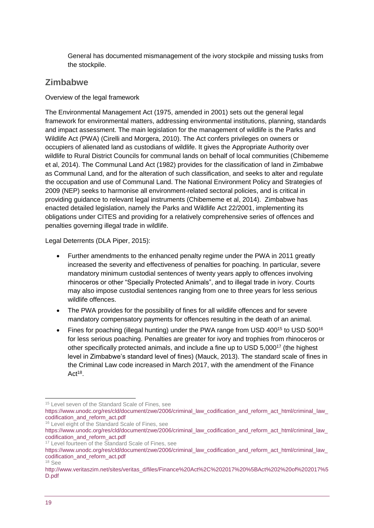General has documented mismanagement of the ivory stockpile and missing tusks from the stockpile.

### **Zimbabwe**

#### Overview of the legal framework

The Environmental Management Act (1975, amended in 2001) sets out the general legal framework for environmental matters, addressing environmental institutions, planning, standards and impact assessment. The main legislation for the management of wildlife is the Parks and Wildlife Act (PWA) (Cirelli and Morgera, 2010). The Act confers privileges on owners or occupiers of alienated land as custodians of wildlife. It gives the Appropriate Authority over wildlife to Rural District Councils for communal lands on behalf of local communities (Chibememe et al, 2014). The Communal Land Act (1982) provides for the classification of land in Zimbabwe as Communal Land, and for the alteration of such classification, and seeks to alter and regulate the occupation and use of Communal Land. The National Environment Policy and Strategies of 2009 (NEP) seeks to harmonise all environment-related sectoral policies, and is critical in providing guidance to relevant legal instruments (Chibememe et al, 2014). Zimbabwe has enacted detailed legislation, namely the Parks and Wildlife Act 22/2001, implementing its obligations under CITES and providing for a relatively comprehensive series of offences and penalties governing illegal trade in wildlife.

Legal Deterrents (DLA Piper, 2015):

- Further amendments to the enhanced penalty regime under the PWA in 2011 greatly increased the severity and effectiveness of penalties for poaching. In particular, severe mandatory minimum custodial sentences of twenty years apply to offences involving rhinoceros or other "Specially Protected Animals", and to illegal trade in ivory. Courts may also impose custodial sentences ranging from one to three years for less serious wildlife offences.
- The PWA provides for the possibility of fines for all wildlife offences and for severe mandatory compensatory payments for offences resulting in the death of an animal.
- Fines for poaching (illegal hunting) under the PWA range from USD 400<sup>15</sup> to USD 500<sup>16</sup> for less serious poaching. Penalties are greater for ivory and trophies from rhinoceros or other specifically protected animals, and include a fine up to USD 5,000<sup>17</sup> (the highest level in Zimbabwe's standard level of fines) (Mauck, 2013). The standard scale of fines in the Criminal Law code increased in March 2017, with the amendment of the Finance  $Act^{18}$ .

<sup>16</sup> Level eight of the Standard Scale of Fines, see

1

<sup>&</sup>lt;sup>15</sup> Level seven of the Standard Scale of Fines, see

https://www.unodc.org/res/cld/document/zwe/2006/criminal\_law\_codification\_and\_reform\_act\_html/criminal\_law [codification\\_and\\_reform\\_act.pdf](https://www.unodc.org/res/cld/document/zwe/2006/criminal_law_codification_and_reform_act_html/criminal_law_codification_and_reform_act.pdf) 

https://www.unodc.org/res/cld/document/zwe/2006/criminal\_law\_codification\_and\_reform\_act\_html/criminal\_law [codification\\_and\\_reform\\_act.pdf](https://www.unodc.org/res/cld/document/zwe/2006/criminal_law_codification_and_reform_act_html/criminal_law_codification_and_reform_act.pdf) 

<sup>&</sup>lt;sup>17</sup> Level fourteen of the Standard Scale of Fines, see

https://www.unodc.org/res/cld/document/zwe/2006/criminal\_law\_codification\_and\_reform\_act\_html/criminal\_law [codification\\_and\\_reform\\_act.pdf](https://www.unodc.org/res/cld/document/zwe/2006/criminal_law_codification_and_reform_act_html/criminal_law_codification_and_reform_act.pdf)  <sup>18</sup> See

[http://www.veritaszim.net/sites/veritas\\_d/files/Finance%20Act%2C%202017%20%5BAct%202%20of%202017%5](http://www.veritaszim.net/sites/veritas_d/files/Finance%20Act%2C%202017%20%5BAct%202%20of%202017%5D.pdf) [D.pdf](http://www.veritaszim.net/sites/veritas_d/files/Finance%20Act%2C%202017%20%5BAct%202%20of%202017%5D.pdf)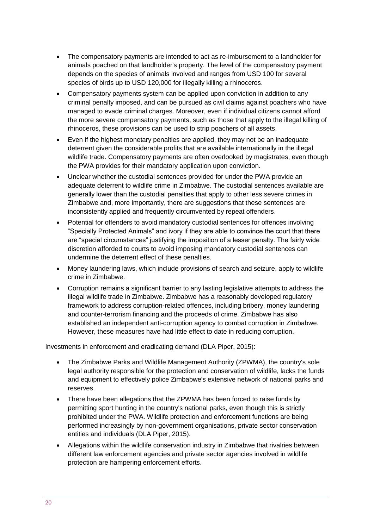- The compensatory payments are intended to act as re-imbursement to a landholder for animals poached on that landholder's property. The level of the compensatory payment depends on the species of animals involved and ranges from USD 100 for several species of birds up to USD 120,000 for illegally killing a rhinoceros.
- Compensatory payments system can be applied upon conviction in addition to any criminal penalty imposed, and can be pursued as civil claims against poachers who have managed to evade criminal charges. Moreover, even if individual citizens cannot afford the more severe compensatory payments, such as those that apply to the illegal killing of rhinoceros, these provisions can be used to strip poachers of all assets.
- Even if the highest monetary penalties are applied, they may not be an inadequate deterrent given the considerable profits that are available internationally in the illegal wildlife trade. Compensatory payments are often overlooked by magistrates, even though the PWA provides for their mandatory application upon conviction.
- Unclear whether the custodial sentences provided for under the PWA provide an adequate deterrent to wildlife crime in Zimbabwe. The custodial sentences available are generally lower than the custodial penalties that apply to other less severe crimes in Zimbabwe and, more importantly, there are suggestions that these sentences are inconsistently applied and frequently circumvented by repeat offenders.
- Potential for offenders to avoid mandatory custodial sentences for offences involving "Specially Protected Animals" and ivory if they are able to convince the court that there are "special circumstances" justifying the imposition of a lesser penalty. The fairly wide discretion afforded to courts to avoid imposing mandatory custodial sentences can undermine the deterrent effect of these penalties.
- Money laundering laws, which include provisions of search and seizure, apply to wildlife crime in Zimbabwe.
- Corruption remains a significant barrier to any lasting legislative attempts to address the illegal wildlife trade in Zimbabwe. Zimbabwe has a reasonably developed regulatory framework to address corruption-related offences, including bribery, money laundering and counter-terrorism financing and the proceeds of crime. Zimbabwe has also established an independent anti-corruption agency to combat corruption in Zimbabwe. However, these measures have had little effect to date in reducing corruption.

Investments in enforcement and eradicating demand (DLA Piper, 2015):

- The Zimbabwe Parks and Wildlife Management Authority (ZPWMA), the country's sole legal authority responsible for the protection and conservation of wildlife, lacks the funds and equipment to effectively police Zimbabwe's extensive network of national parks and reserves.
- There have been allegations that the ZPWMA has been forced to raise funds by permitting sport hunting in the country's national parks, even though this is strictly prohibited under the PWA. Wildlife protection and enforcement functions are being performed increasingly by non-government organisations, private sector conservation entities and individuals (DLA Piper, 2015).
- Allegations within the wildlife conservation industry in Zimbabwe that rivalries between different law enforcement agencies and private sector agencies involved in wildlife protection are hampering enforcement efforts.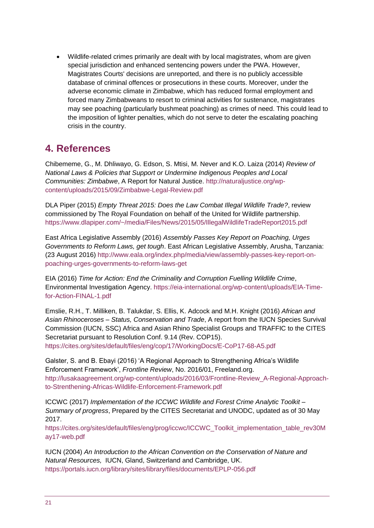• Wildlife-related crimes primarily are dealt with by local magistrates, whom are given special jurisdiction and enhanced sentencing powers under the PWA. However, Magistrates Courts' decisions are unreported, and there is no publicly accessible database of criminal offences or prosecutions in these courts. Moreover, under the adverse economic climate in Zimbabwe, which has reduced formal employment and forced many Zimbabweans to resort to criminal activities for sustenance, magistrates may see poaching (particularly bushmeat poaching) as crimes of need. This could lead to the imposition of lighter penalties, which do not serve to deter the escalating poaching crisis in the country.

# <span id="page-20-0"></span>**4. References**

Chibememe, G., M. Dhliwayo, G. Edson, S. Mtisi, M. Never and K.O. Laiza (2014) *Review of National Laws & Policies that Support or Undermine Indigenous Peoples and Local Communities: Zimbabwe*, A Report for Natural Justice. [http://naturaljustice.org/wp](http://naturaljustice.org/wp-content/uploads/2015/09/Zimbabwe-Legal-Review.pdf)[content/uploads/2015/09/Zimbabwe-Legal-Review.pdf](http://naturaljustice.org/wp-content/uploads/2015/09/Zimbabwe-Legal-Review.pdf)

DLA Piper (2015) *Empty Threat 2015: Does the Law Combat Illegal Wildlife Trade?*, review commissioned by The Royal Foundation on behalf of the United for Wildlife partnership. <https://www.dlapiper.com/~/media/Files/News/2015/05/IllegalWildlifeTradeReport2015.pdf>

East Africa Legislative Assembly (2016) *Assembly Passes Key Report on Poaching, Urges Governments to Reform Laws, get tough*. East African Legislative Assembly, Arusha, Tanzania: (23 August 2016) [http://www.eala.org/index.php/media/view/assembly-passes-key-report-on](http://www.eala.org/index.php/media/view/assembly-passes-key-report-on-poaching-urges-governments-to-reform-laws-get)[poaching-urges-governments-to-reform-laws-get](http://www.eala.org/index.php/media/view/assembly-passes-key-report-on-poaching-urges-governments-to-reform-laws-get)

EIA (2016) *Time for Action: End the Criminality and Corruption Fuelling Wildlife Crime*, Environmental Investigation Agency. [https://eia-international.org/wp-content/uploads/EIA-Time](https://eia-international.org/wp-content/uploads/EIA-Time-for-Action-FINAL-1.pdf)[for-Action-FINAL-1.pdf](https://eia-international.org/wp-content/uploads/EIA-Time-for-Action-FINAL-1.pdf)

Emslie, R.H., T. Milliken, B. Talukdar, S. Ellis, K. Adcock and M.H. Knight (2016) *African and Asian Rhinoceroses – Status, Conservation and Trade*, A report from the IUCN Species Survival Commission (IUCN, SSC) Africa and Asian Rhino Specialist Groups and TRAFFIC to the CITES Secretariat pursuant to Resolution Conf. 9.14 (Rev. COP15).

<https://cites.org/sites/default/files/eng/cop/17/WorkingDocs/E-CoP17-68-A5.pdf>

Galster, S. and B. Ebayi (2016) 'A Regional Approach to Strengthening Africa's Wildlife Enforcement Framework', *Frontline Review*, No. 2016/01, Freeland.org. [http://lusakaagreement.org/wp-content/uploads/2016/03/Frontline-Review\\_A-Regional-Approach](http://lusakaagreement.org/wp-content/uploads/2016/03/Frontline-Review_A-Regional-Approach-to-Strenthening-Africas-Wildlife-Enforcement-Framework.pdf)[to-Strenthening-Africas-Wildlife-Enforcement-Framework.pdf](http://lusakaagreement.org/wp-content/uploads/2016/03/Frontline-Review_A-Regional-Approach-to-Strenthening-Africas-Wildlife-Enforcement-Framework.pdf)

ICCWC (2017) *Implementation of the ICCWC Wildlife and Forest Crime Analytic Toolkit – Summary of progress*, Prepared by the CITES Secretariat and UNODC, updated as of 30 May 2017.

[https://cites.org/sites/default/files/eng/prog/iccwc/ICCWC\\_Toolkit\\_implementation\\_table\\_rev30M](https://cites.org/sites/default/files/eng/prog/iccwc/ICCWC_Toolkit_implementation_table_rev30May17-web.pdf) [ay17-web.pdf](https://cites.org/sites/default/files/eng/prog/iccwc/ICCWC_Toolkit_implementation_table_rev30May17-web.pdf)

IUCN (2004) *An Introduction to the African Convention on the Conservation of Nature and Natural Resources,* IUCN, Gland, Switzerland and Cambridge, UK. <https://portals.iucn.org/library/sites/library/files/documents/EPLP-056.pdf>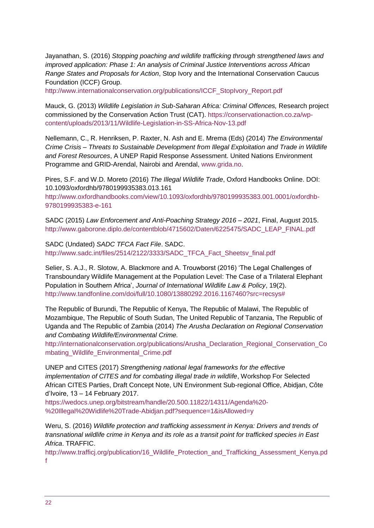Jayanathan, S. (2016) *Stopping poaching and wildlife trafficking through strengthened laws and improved application: Phase 1: An analysis of Criminal Justice Interventions across African Range States and Proposals for Action*, Stop Ivory and the International Conservation Caucus Foundation (ICCF) Group.

[http://www.internationalconservation.org/publications/ICCF\\_StopIvory\\_Report.pdf](http://www.internationalconservation.org/publications/ICCF_StopIvory_Report.pdf)

Mauck, G. (2013) *Wildlife Legislation in Sub-Saharan Africa: Criminal Offences,* Research project commissioned by the Conservation Action Trust (CAT). [https://conservationaction.co.za/wp](https://conservationaction.co.za/wp-content/uploads/2013/11/Wildlife-Legislation-in-SS-Africa-Nov-13.pdf)[content/uploads/2013/11/Wildlife-Legislation-in-SS-Africa-Nov-13.pdf](https://conservationaction.co.za/wp-content/uploads/2013/11/Wildlife-Legislation-in-SS-Africa-Nov-13.pdf)

Nellemann, C., R. Henriksen, P. Raxter, N. Ash and E. Mrema (Eds) (2014) *The Environmental Crime Crisis – Threats to Sustainable Development from Illegal Exploitation and Trade in Wildlife and Forest Resources*, A UNEP Rapid Response Assessment. United Nations Environment Programme and GRID-Arendal, Nairobi and Arendal, [www.grida.no.](http://www.grida.no/)

Pires, S.F. and W.D. Moreto (2016) *The Illegal Wildlife Trade*, Oxford Handbooks Online. DOI: 10.1093/oxfordhb/9780199935383.013.161

[http://www.oxfordhandbooks.com/view/10.1093/oxfordhb/9780199935383.001.0001/oxfordhb-](http://www.oxfordhandbooks.com/view/10.1093/oxfordhb/9780199935383.001.0001/oxfordhb-9780199935383-e-161)[9780199935383-e-161](http://www.oxfordhandbooks.com/view/10.1093/oxfordhb/9780199935383.001.0001/oxfordhb-9780199935383-e-161)

SADC (2015) *Law Enforcement and Anti-Poaching Strategy 2016 – 2021*, Final, August 2015. [http://www.gaborone.diplo.de/contentblob/4715602/Daten/6225475/SADC\\_LEAP\\_FINAL.pdf](http://www.gaborone.diplo.de/contentblob/4715602/Daten/6225475/SADC_LEAP_FINAL.pdf)

SADC (Undated) *SADC TFCA Fact File*. SADC. [http://www.sadc.int/files/2514/2122/3333/SADC\\_TFCA\\_Fact\\_Sheetsv\\_final.pdf](http://www.sadc.int/files/2514/2122/3333/SADC_TFCA_Fact_Sheetsv_final.pdf)

Selier, S. A.J., R. Slotow, A. Blackmore and A. Trouwborst (2016) 'The Legal Challenges of Transboundary Wildlife Management at the Population Level: The Case of a Trilateral Elephant Population in Southern Africa', *Journal of International Wildlife Law & Policy*, 19(2). [http://www.tandfonline.com/doi/full/10.1080/13880292.2016.1167460?src=recsys#](http://www.tandfonline.com/doi/full/10.1080/13880292.2016.1167460?src=recsys)

The Republic of Burundi, The Republic of Kenya, The Republic of Malawi, The Republic of Mozambique, The Republic of South Sudan, The United Republic of Tanzania, The Republic of Uganda and The Republic of Zambia (2014) *The Arusha Declaration on Regional Conservation and Combating Wildlife/Environmental Crime.* 

[http://internationalconservation.org/publications/Arusha\\_Declaration\\_Regional\\_Conservation\\_Co](http://internationalconservation.org/publications/Arusha_Declaration_Regional_Conservation_Combating_Wildlife_Environmental_Crime.pdf) [mbating\\_Wildlife\\_Environmental\\_Crime.pdf](http://internationalconservation.org/publications/Arusha_Declaration_Regional_Conservation_Combating_Wildlife_Environmental_Crime.pdf)

UNEP and CITES (2017) *Strengthening national legal frameworks for the effective implementation of CITES and for combating illegal trade in wildlife*, Workshop For Selected African CITES Parties, Draft Concept Note, UN Environment Sub-regional Office, Abidjan, Côte d'Ivoire, 13 – 14 February 2017.

[https://wedocs.unep.org/bitstream/handle/20.500.11822/14311/Agenda%20-](https://wedocs.unep.org/bitstream/handle/20.500.11822/14311/Agenda%20-%20Illegal%20Widlife%20Trade-Abidjan.pdf?sequence=1&isAllowed=y) [%20Illegal%20Widlife%20Trade-Abidjan.pdf?sequence=1&isAllowed=y](https://wedocs.unep.org/bitstream/handle/20.500.11822/14311/Agenda%20-%20Illegal%20Widlife%20Trade-Abidjan.pdf?sequence=1&isAllowed=y)

Weru, S. (2016) *Wildlife protection and trafficking assessment in Kenya: Drivers and trends of transnational wildlife crime in Kenya and its role as a transit point for trafficked species in East Africa*. TRAFFIC.

[http://www.trafficj.org/publication/16\\_Wildlife\\_Protection\\_and\\_Trafficking\\_Assessment\\_Kenya.pd](http://www.trafficj.org/publication/16_Wildlife_Protection_and_Trafficking_Assessment_Kenya.pdf) [f](http://www.trafficj.org/publication/16_Wildlife_Protection_and_Trafficking_Assessment_Kenya.pdf)